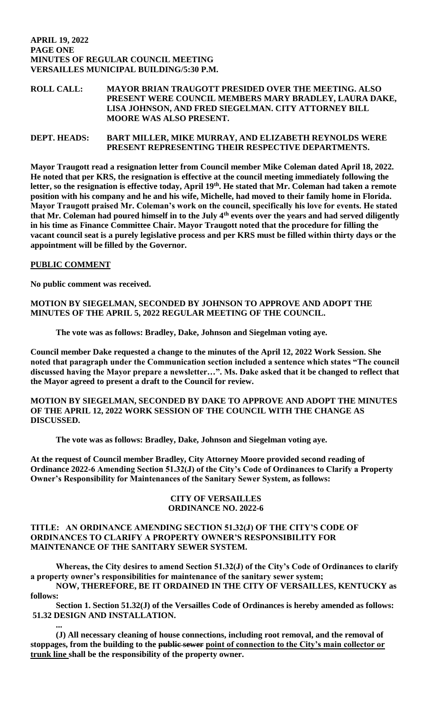### **APRIL 19, 2022 PAGE ONE MINUTES OF REGULAR COUNCIL MEETING VERSAILLES MUNICIPAL BUILDING/5:30 P.M.**

## **ROLL CALL: MAYOR BRIAN TRAUGOTT PRESIDED OVER THE MEETING. ALSO PRESENT WERE COUNCIL MEMBERS MARY BRADLEY, LAURA DAKE, LISA JOHNSON, AND FRED SIEGELMAN. CITY ATTORNEY BILL MOORE WAS ALSO PRESENT.**

**DEPT. HEADS: BART MILLER, MIKE MURRAY, AND ELIZABETH REYNOLDS WERE PRESENT REPRESENTING THEIR RESPECTIVE DEPARTMENTS.** 

**Mayor Traugott read a resignation letter from Council member Mike Coleman dated April 18, 2022. He noted that per KRS, the resignation is effective at the council meeting immediately following the**  letter, so the resignation is effective today, April 19<sup>th</sup>. He stated that Mr. Coleman had taken a remote **position with his company and he and his wife, Michelle, had moved to their family home in Florida. Mayor Traugott praised Mr. Coleman's work on the council, specifically his love for events. He stated that Mr. Coleman had poured himself in to the July 4th events over the years and had served diligently in his time as Finance Committee Chair. Mayor Traugott noted that the procedure for filling the vacant council seat is a purely legislative process and per KRS must be filled within thirty days or the appointment will be filled by the Governor.** 

### **PUBLIC COMMENT**

**No public comment was received.** 

## **MOTION BY SIEGELMAN, SECONDED BY JOHNSON TO APPROVE AND ADOPT THE MINUTES OF THE APRIL 5, 2022 REGULAR MEETING OF THE COUNCIL.**

**The vote was as follows: Bradley, Dake, Johnson and Siegelman voting aye.**

**Council member Dake requested a change to the minutes of the April 12, 2022 Work Session. She noted that paragraph under the Communication section included a sentence which states "The council discussed having the Mayor prepare a newsletter…". Ms. Dake asked that it be changed to reflect that the Mayor agreed to present a draft to the Council for review.** 

**MOTION BY SIEGELMAN, SECONDED BY DAKE TO APPROVE AND ADOPT THE MINUTES OF THE APRIL 12, 2022 WORK SESSION OF THE COUNCIL WITH THE CHANGE AS DISCUSSED.** 

**The vote was as follows: Bradley, Dake, Johnson and Siegelman voting aye.** 

**At the request of Council member Bradley, City Attorney Moore provided second reading of Ordinance 2022-6 Amending Section 51.32(J) of the City's Code of Ordinances to Clarify a Property Owner's Responsibility for Maintenances of the Sanitary Sewer System, as follows:**

### **CITY OF VERSAILLES ORDINANCE NO. 2022-6**

### **TITLE: AN ORDINANCE AMENDING SECTION 51.32(J) OF THE CITY'S CODE OF ORDINANCES TO CLARIFY A PROPERTY OWNER'S RESPONSIBILITY FOR MAINTENANCE OF THE SANITARY SEWER SYSTEM.**

**Whereas, the City desires to amend Section 51.32(J) of the City's Code of Ordinances to clarify a property owner's responsibilities for maintenance of the sanitary sewer system; NOW, THEREFORE, BE IT ORDAINED IN THE CITY OF VERSAILLES, KENTUCKY as** 

**follows:**

**Section 1. Section 51.32(J) of the Versailles Code of Ordinances is hereby amended as follows: 51.32 DESIGN AND INSTALLATION.**

**... (J) All necessary cleaning of house connections, including root removal, and the removal of stoppages, from the building to the public sewer point of connection to the City's main collector or trunk line shall be the responsibility of the property owner.**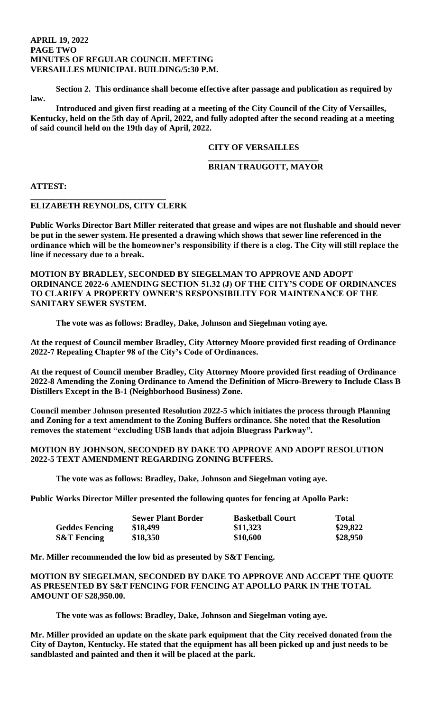#### **APRIL 19, 2022 PAGE TWO MINUTES OF REGULAR COUNCIL MEETING VERSAILLES MUNICIPAL BUILDING/5:30 P.M.**

**Section 2. This ordinance shall become effective after passage and publication as required by law.**

**Introduced and given first reading at a meeting of the City Council of the City of Versailles, Kentucky, held on the 5th day of April, 2022, and fully adopted after the second reading at a meeting of said council held on the 19th day of April, 2022.**

### **CITY OF VERSAILLES**

### **\_\_\_\_\_\_\_\_\_\_\_\_\_\_\_\_\_\_\_\_\_\_\_\_\_\_ BRIAN TRAUGOTT, MAYOR**

**ATTEST:**

### **ELIZABETH REYNOLDS, CITY CLERK**

**\_\_\_\_\_\_\_\_\_\_\_\_\_\_\_\_\_\_\_\_\_\_\_\_\_\_\_\_\_\_\_\_** 

**Public Works Director Bart Miller reiterated that grease and wipes are not flushable and should never be put in the sewer system. He presented a drawing which shows that sewer line referenced in the ordinance which will be the homeowner's responsibility if there is a clog. The City will still replace the line if necessary due to a break.** 

**MOTION BY BRADLEY, SECONDED BY SIEGELMAN TO APPROVE AND ADOPT ORDINANCE 2022-6 AMENDING SECTION 51.32 (J) OF THE CITY'S CODE OF ORDINANCES TO CLARIFY A PROPERTY OWNER'S RESPONSIBILITY FOR MAINTENANCE OF THE SANITARY SEWER SYSTEM.** 

**The vote was as follows: Bradley, Dake, Johnson and Siegelman voting aye.** 

**At the request of Council member Bradley, City Attorney Moore provided first reading of Ordinance 2022-7 Repealing Chapter 98 of the City's Code of Ordinances.** 

**At the request of Council member Bradley, City Attorney Moore provided first reading of Ordinance 2022-8 Amending the Zoning Ordinance to Amend the Definition of Micro-Brewery to Include Class B Distillers Except in the B-1 (Neighborhood Business) Zone.** 

**Council member Johnson presented Resolution 2022-5 which initiates the process through Planning and Zoning for a text amendment to the Zoning Buffers ordinance. She noted that the Resolution removes the statement "excluding USB lands that adjoin Bluegrass Parkway".** 

### **MOTION BY JOHNSON, SECONDED BY DAKE TO APPROVE AND ADOPT RESOLUTION 2022-5 TEXT AMENDMENT REGARDING ZONING BUFFERS.**

**The vote was as follows: Bradley, Dake, Johnson and Siegelman voting aye.** 

**Public Works Director Miller presented the following quotes for fencing at Apollo Park:**

|                        | <b>Sewer Plant Border</b> | <b>Basketball Court</b> | <b>Total</b> |
|------------------------|---------------------------|-------------------------|--------------|
| <b>Geddes Fencing</b>  | \$18,499                  | \$11,323                | \$29,822     |
| <b>S&amp;T Fencing</b> | \$18,350                  | \$10,600                | \$28,950     |

**Mr. Miller recommended the low bid as presented by S&T Fencing.** 

**MOTION BY SIEGELMAN, SECONDED BY DAKE TO APPROVE AND ACCEPT THE QUOTE AS PRESENTED BY S&T FENCING FOR FENCING AT APOLLO PARK IN THE TOTAL AMOUNT OF \$28,950.00.** 

**The vote was as follows: Bradley, Dake, Johnson and Siegelman voting aye.** 

**Mr. Miller provided an update on the skate park equipment that the City received donated from the City of Dayton, Kentucky. He stated that the equipment has all been picked up and just needs to be sandblasted and painted and then it will be placed at the park.**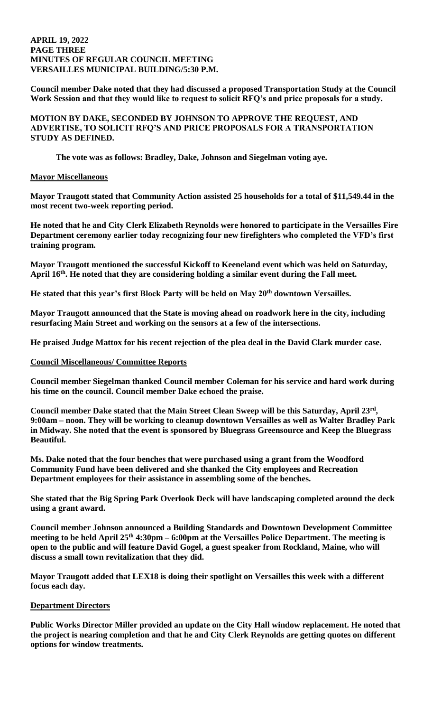### **APRIL 19, 2022 PAGE THREE MINUTES OF REGULAR COUNCIL MEETING VERSAILLES MUNICIPAL BUILDING/5:30 P.M.**

**Council member Dake noted that they had discussed a proposed Transportation Study at the Council Work Session and that they would like to request to solicit RFQ's and price proposals for a study.** 

**MOTION BY DAKE, SECONDED BY JOHNSON TO APPROVE THE REQUEST, AND ADVERTISE, TO SOLICIT RFQ'S AND PRICE PROPOSALS FOR A TRANSPORTATION STUDY AS DEFINED.** 

**The vote was as follows: Bradley, Dake, Johnson and Siegelman voting aye.** 

### **Mayor Miscellaneous**

**Mayor Traugott stated that Community Action assisted 25 households for a total of \$11,549.44 in the most recent two-week reporting period.**

**He noted that he and City Clerk Elizabeth Reynolds were honored to participate in the Versailles Fire Department ceremony earlier today recognizing four new firefighters who completed the VFD's first training program.**

**Mayor Traugott mentioned the successful Kickoff to Keeneland event which was held on Saturday, April 16th. He noted that they are considering holding a similar event during the Fall meet.** 

**He stated that this year's first Block Party will be held on May 20th downtown Versailles.** 

**Mayor Traugott announced that the State is moving ahead on roadwork here in the city, including resurfacing Main Street and working on the sensors at a few of the intersections.** 

**He praised Judge Mattox for his recent rejection of the plea deal in the David Clark murder case.** 

### **Council Miscellaneous/ Committee Reports**

**Council member Siegelman thanked Council member Coleman for his service and hard work during his time on the council. Council member Dake echoed the praise.** 

**Council member Dake stated that the Main Street Clean Sweep will be this Saturday, April 23rd , 9:00am – noon. They will be working to cleanup downtown Versailles as well as Walter Bradley Park in Midway. She noted that the event is sponsored by Bluegrass Greensource and Keep the Bluegrass Beautiful.** 

**Ms. Dake noted that the four benches that were purchased using a grant from the Woodford Community Fund have been delivered and she thanked the City employees and Recreation Department employees for their assistance in assembling some of the benches.** 

**She stated that the Big Spring Park Overlook Deck will have landscaping completed around the deck using a grant award.** 

**Council member Johnson announced a Building Standards and Downtown Development Committee meeting to be held April 25th 4:30pm – 6:00pm at the Versailles Police Department. The meeting is open to the public and will feature David Gogel, a guest speaker from Rockland, Maine, who will discuss a small town revitalization that they did.** 

**Mayor Traugott added that LEX18 is doing their spotlight on Versailles this week with a different focus each day.** 

#### **Department Directors**

**Public Works Director Miller provided an update on the City Hall window replacement. He noted that the project is nearing completion and that he and City Clerk Reynolds are getting quotes on different options for window treatments.**